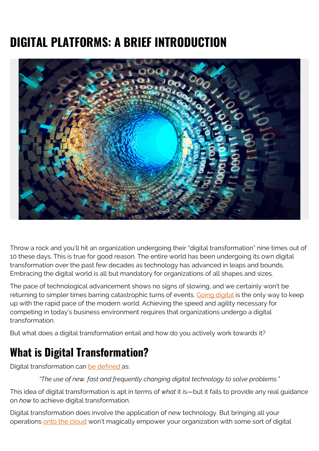# **DIGITAL PLATFORMS: A BRIEF INTRODUCTION**



Throw a rock and you'll hit an organization undergoing their "digital transformation" nine times out of 10 these days. This is true for good reason. The entire world has been undergoing its own digital transformation over the past few decades as technology has advanced in leaps and bounds. Embracing the digital world is all but mandatory for organizations of all shapes and sizes.

The pace of technological advancement shows no signs of slowing, and we certainly won't be returning to simpler times barring catastrophic turns of events. [Going digital](https://blogs.bmc.com/blogs/what-is-digital-transformation/) is the only way to keep up with the rapid pace of the modern world. Achieving the speed and agility necessary for competing in today's business environment requires that organizations undergo a digital transformation.

But what does a digital transformation entail and how do you actively work towards it?

#### **What is Digital Transformation?**

Digital transformation can [be defined a](https://en.wikipedia.org/wiki/Digital_transformation)s:

*"The use of new, fast and frequently changing digital technology to solve problems."*

This idea of digital transformation is apt in terms of *what* it is—but it fails to provide any real guidance on *how* to achieve digital transformation.

Digital transformation does involve the application of new technology. But bringing all your operations [onto the cloud](https://blogs.bmc.com/blogs/public-private-hybrid-cloud/) won't magically empower your organization with some sort of digital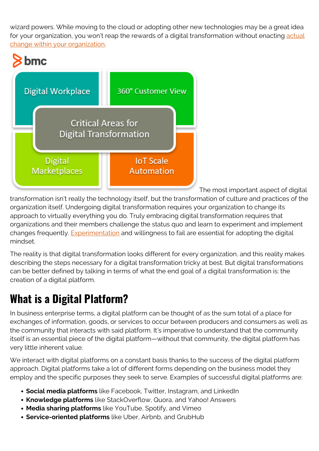wizard powers. While moving to the cloud or adopting other new technologies may be a great idea for your organization, you won't reap the rewards of a digital transformation without enacting [actual](https://blogs.bmc.com/blogs/organizational-change-management/) [change within your organization.](https://blogs.bmc.com/blogs/organizational-change-management/)



The most important aspect of digital

transformation isn't really the technology itself, but the transformation of culture and practices of the organization itself. Undergoing digital transformation requires your organization to change its approach to virtually everything you do. Truly embracing digital transformation requires that organizations and their members challenge the status quo and learn to experiment and implement changes frequently. **Experimentation** and willingness to fail are essential for adopting the digital mindset.

The reality is that digital transformation looks different for every organization, and this reality makes describing the steps necessary for a digital transformation tricky at best. But digital transformations can be better defined by talking in terms of what the end goal of a digital transformation is: the creation of a digital platform.

#### **What is a Digital Platform?**

In business enterprise terms, a digital platform can be thought of as the sum total of a place for exchanges of information, goods, or services to occur between producers and consumers as well as the community that interacts with said platform. It's imperative to understand that the community itself is an essential piece of the digital platform—without that community, the digital platform has very little inherent value.

We interact with digital platforms on a constant basis thanks to the success of the digital platform approach. Digital platforms take a lot of different forms depending on the business model they employ and the specific purposes they seek to serve. Examples of successful digital platforms are:

- **Social media platforms** like Facebook, Twitter, Instagram, and LinkedIn
- **Knowledge platforms** like StackOverflow, Quora, and Yahoo! Answers
- **Media sharing platforms** like YouTube, Spotify, and Vimeo
- **Service-oriented platforms** like Uber, Airbnb, and GrubHub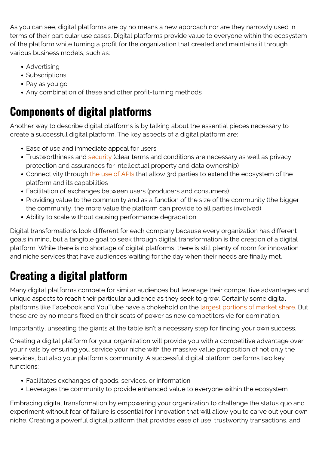As you can see, digital platforms are by no means a new approach nor are they narrowly used in terms of their particular use cases. Digital platforms provide value to everyone within the ecosystem of the platform while turning a profit for the organization that created and maintains it through various business models, such as:

- Advertising
- Subscriptions
- Pay as you go
- Any combination of these and other profit-turning methods

## **Components of digital platforms**

Another way to describe digital platforms is by talking about the essential pieces necessary to create a successful digital platform. The key aspects of a digital platform are:

- Ease of use and immediate appeal for users
- Trustworthiness and [security](https://blogs.bmc.com/blogs/security-vulnerability-vs-threat-vs-risk-whats-difference/) (clear terms and conditions are necessary as well as privacy protection and assurances for intellectual property and data ownership)
- Connectivity through [the use of APIs](https://blogs.bmc.com/blogs/microservice-vs-api/) that allow 3rd parties to extend the ecosystem of the platform and its capabilities
- Facilitation of exchanges between users (producers and consumers)
- Providing value to the community and as a function of the size of the community (the bigger the community, the more value the platform can provide to all parties involved)
- Ability to scale without causing performance degradation

Digital transformations look different for each company because every organization has different goals in mind, but a tangible goal to seek through digital transformation is the creation of a digital platform. While there is no shortage of digital platforms, there is still plenty of room for innovation and niche services that have audiences waiting for the day when their needs are finally met.

### **Creating a digital platform**

Many digital platforms compete for similar audiences but leverage their competitive advantages and unique aspects to reach their particular audience as they seek to grow. Certainly some digital platforms like Facebook and YouTube have a chokehold on the *largest portions of market share*. But these are by no means fixed on their seats of power as new competitors vie for domination.

Importantly, unseating the giants at the table isn't a necessary step for finding your own success.

Creating a digital platform for your organization will provide you with a competitive advantage over your rivals by ensuring you service your niche with the massive value proposition of not only the services, but also your platform's community. A successful digital platform performs two key functions:

- Facilitates exchanges of goods, services, or information
- Leverages the community to provide enhanced value to everyone within the ecosystem

Embracing digital transformation by empowering your organization to challenge the status quo and experiment without fear of failure is essential for innovation that will allow you to carve out your own niche. Creating a powerful digital platform that provides ease of use, trustworthy transactions, and